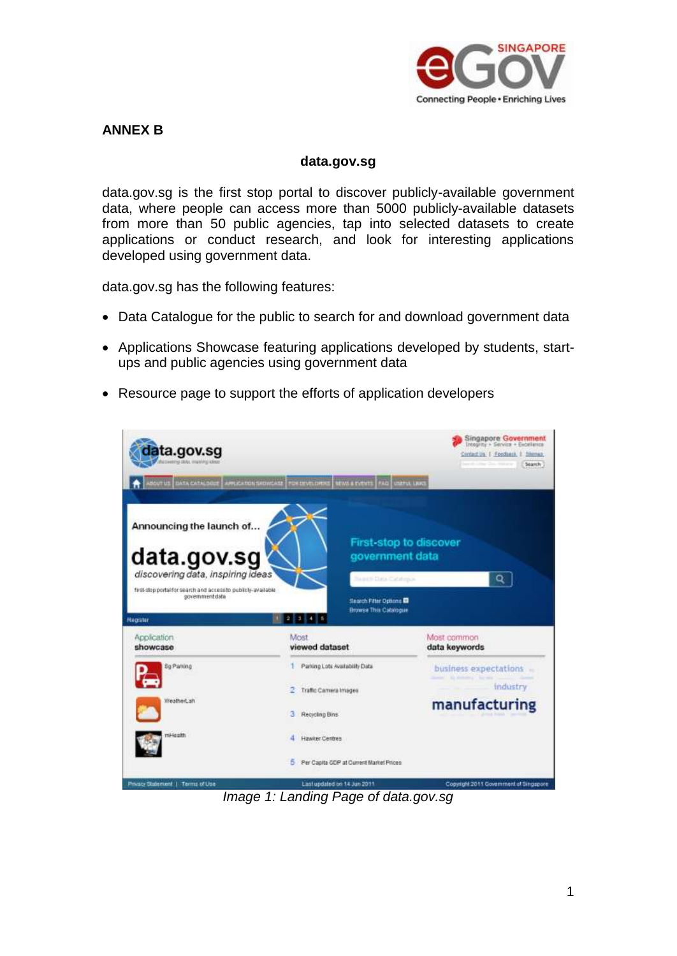

## **ANNEX B**

#### **data.gov.sg**

data.gov.sg is the first stop portal to discover publicly-available government data, where people can access more than 5000 publicly-available datasets from more than 50 public agencies, tap into selected datasets to create applications or conduct research, and look for interesting applications developed using government data.

data.gov.sg has the following features:

- Data Catalogue for the public to search for and download government data
- Applications Showcase featuring applications developed by students, startups and public agencies using government data
- Resource page to support the efforts of application developers



*Image 1: Landing Page of data.gov.sg*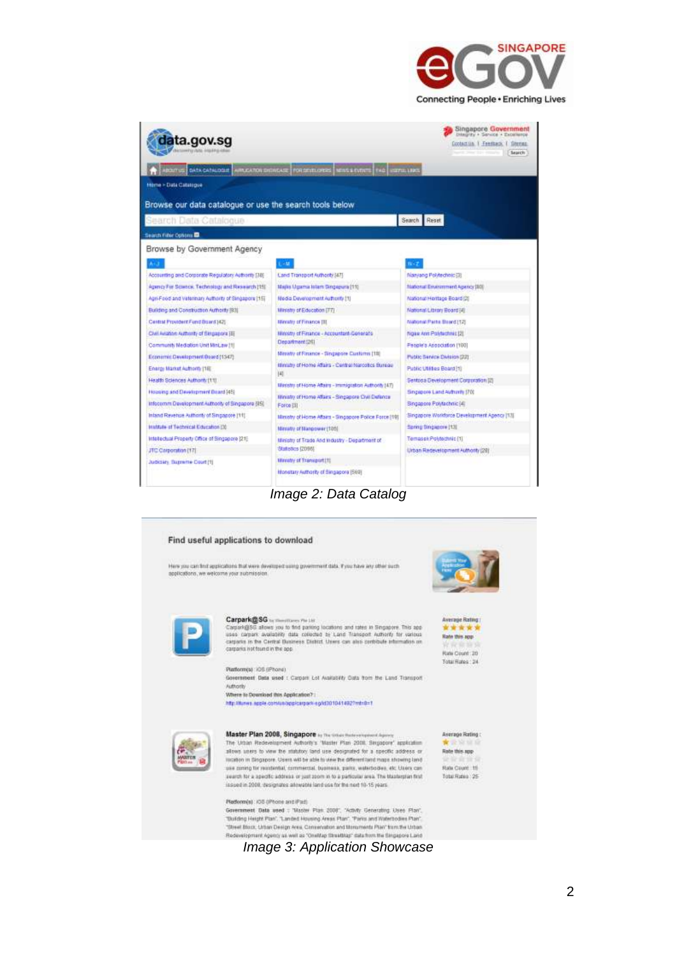



*Image 2: Data Catalog*



*Image 3: Application Showcase*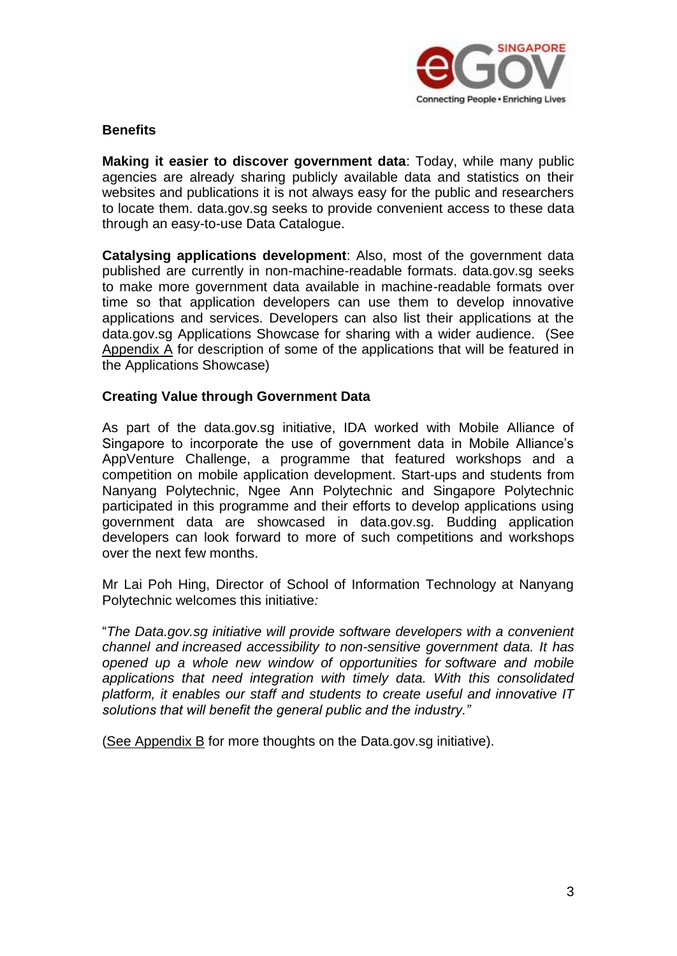

#### **Benefits**

**Making it easier to discover government data**: Today, while many public agencies are already sharing publicly available data and statistics on their websites and publications it is not always easy for the public and researchers to locate them. data.gov.sg seeks to provide convenient access to these data through an easy-to-use Data Catalogue.

**Catalysing applications development**: Also, most of the government data published are currently in non-machine-readable formats. data.gov.sg seeks to make more government data available in machine-readable formats over time so that application developers can use them to develop innovative applications and services. Developers can also list their applications at the data.gov.sg Applications Showcase for sharing with a wider audience. (See Appendix A for description of some of the applications that will be featured in the Applications Showcase)

#### **Creating Value through Government Data**

As part of the data.gov.sg initiative, IDA worked with Mobile Alliance of Singapore to incorporate the use of government data in Mobile Alliance's AppVenture Challenge, a programme that featured workshops and a competition on mobile application development. Start-ups and students from Nanyang Polytechnic, Ngee Ann Polytechnic and Singapore Polytechnic participated in this programme and their efforts to develop applications using government data are showcased in data.gov.sg. Budding application developers can look forward to more of such competitions and workshops over the next few months.

Mr Lai Poh Hing, Director of School of Information Technology at Nanyang Polytechnic welcomes this initiative*:*

"*The Data.gov.sg initiative will provide software developers with a convenient channel and increased accessibility to non-sensitive government data. It has opened up a whole new window of opportunities for software and mobile applications that need integration with timely data. With this consolidated platform, it enables our staff and students to create useful and innovative IT solutions that will benefit the general public and the industry."*

(See Appendix B for more thoughts on the Data.gov.sg initiative).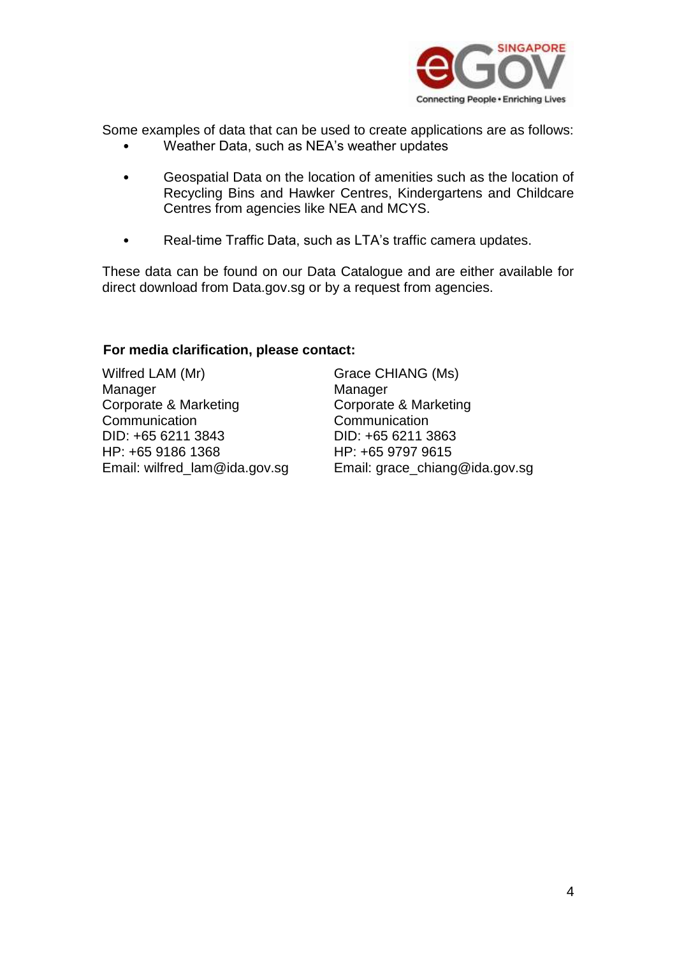

Some examples of data that can be used to create applications are as follows:

- Weather Data, such as NEA's weather updates
- Geospatial Data on the location of amenities such as the location of Recycling Bins and Hawker Centres, Kindergartens and Childcare Centres from agencies like NEA and MCYS.
- Real-time Traffic Data, such as LTA's traffic camera updates.

These data can be found on our Data Catalogue and are either available for direct download from Data.gov.sg or by a request from agencies.

## **For media clarification, please contact:**

Wilfred LAM (Mr) Manager Corporate & Marketing **Communication** DID: +65 6211 3843 HP: +65 9186 1368 Email: wilfred\_lam@ida.gov.sg Grace CHIANG (Ms) Manager Corporate & Marketing **Communication** DID: +65 6211 3863 HP: +65 9797 9615 Email: grace\_chiang@ida.gov.sg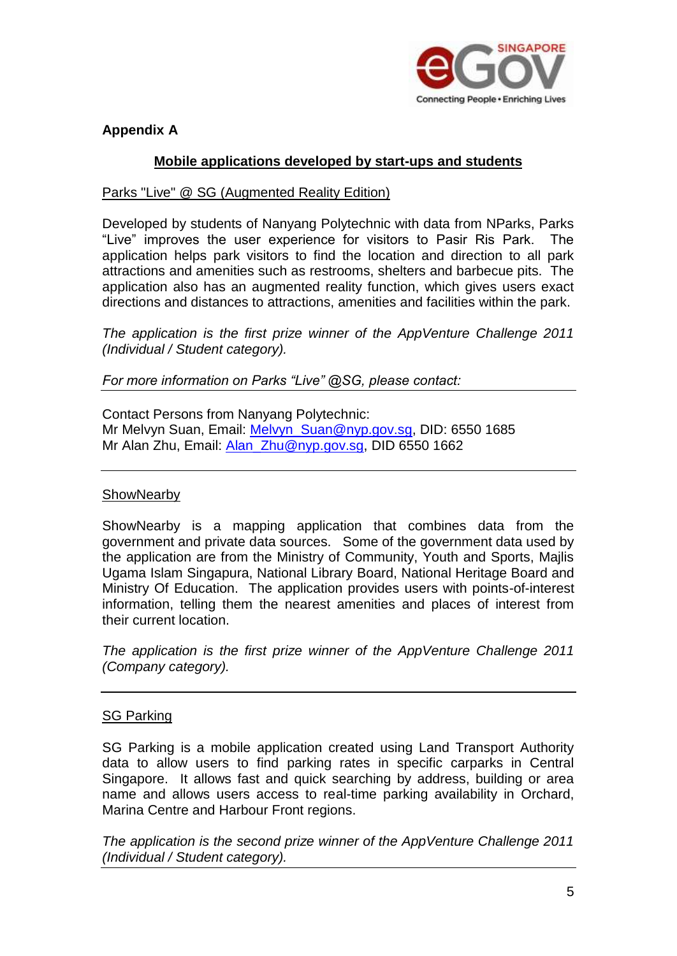

# **Appendix A**

## **Mobile applications developed by start-ups and students**

## Parks "Live" @ SG (Augmented Reality Edition)

Developed by students of Nanyang Polytechnic with data from NParks, Parks "Live" improves the user experience for visitors to Pasir Ris Park. The application helps park visitors to find the location and direction to all park attractions and amenities such as restrooms, shelters and barbecue pits. The application also has an augmented reality function, which gives users exact directions and distances to attractions, amenities and facilities within the park.

*The application is the first prize winner of the AppVenture Challenge 2011 (Individual / Student category).*

*For more information on Parks "Live" @SG, please contact:*

Contact Persons from Nanyang Polytechnic: Mr Melvyn Suan, Email: [Melvyn\\_Suan@nyp.gov.sg,](mailto:Melvyn_Suan@nyp.gov.sg) DID: 6550 1685 Mr Alan Zhu, Email: Alan Zhu@nyp.gov.sg, DID 6550 1662

## **ShowNearby**

ShowNearby is a mapping application that combines data from the government and private data sources. Some of the government data used by the application are from the Ministry of Community, Youth and Sports, Majlis Ugama Islam Singapura, National Library Board, National Heritage Board and Ministry Of Education. The application provides users with points-of-interest information, telling them the nearest amenities and places of interest from their current location.

*The application is the first prize winner of the AppVenture Challenge 2011 (Company category).*

## SG Parking

SG Parking is a mobile application created using Land Transport Authority data to allow users to find parking rates in specific carparks in Central Singapore. It allows fast and quick searching by address, building or area name and allows users access to real-time parking availability in Orchard, Marina Centre and Harbour Front regions.

*The application is the second prize winner of the AppVenture Challenge 2011 (Individual / Student category).*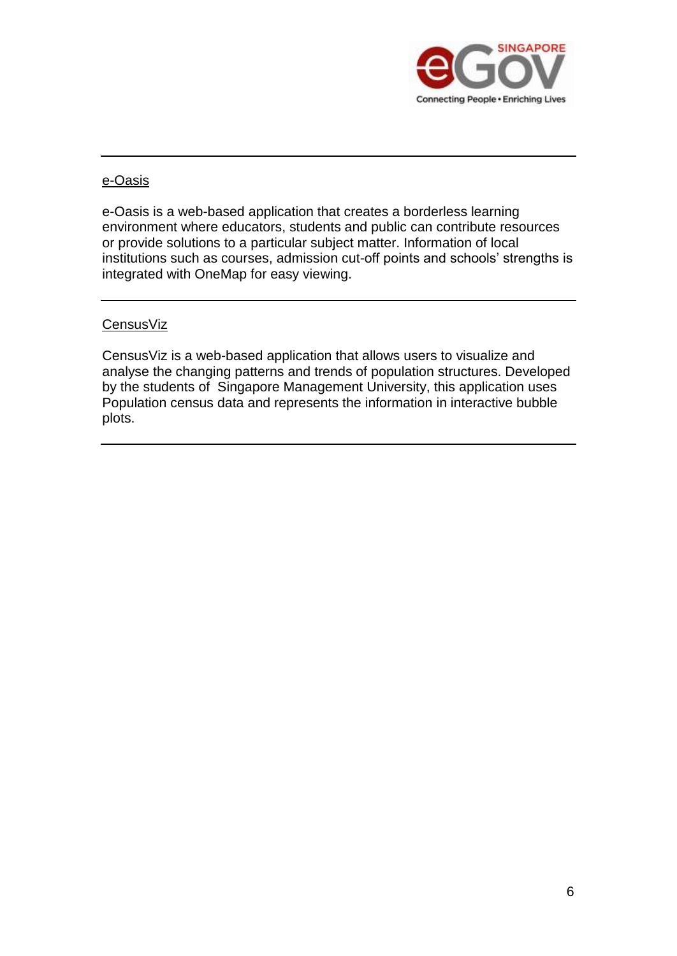

## e-Oasis

e-Oasis is a web-based application that creates a borderless learning environment where educators, students and public can contribute resources or provide solutions to a particular subject matter. Information of local institutions such as courses, admission cut-off points and schools' strengths is integrated with OneMap for easy viewing.

## **CensusViz**

CensusViz is a web-based application that allows users to visualize and analyse the changing patterns and trends of population structures. Developed by the students of Singapore Management University, this application uses Population census data and represents the information in interactive bubble plots.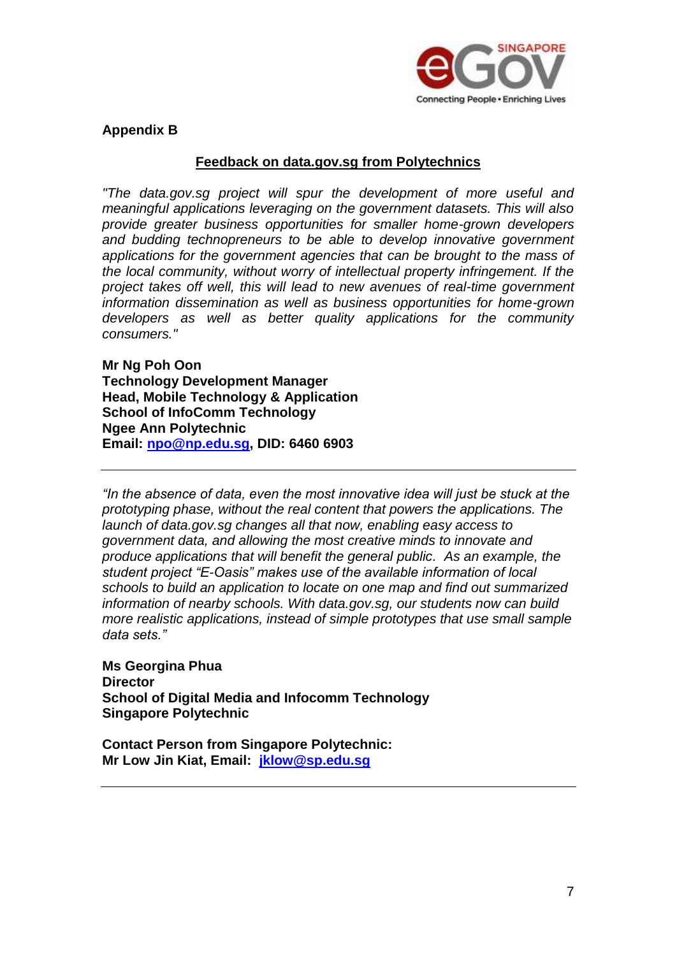

## **Appendix B**

#### **Feedback on data.gov.sg from Polytechnics**

*"The data.gov.sg project will spur the development of more useful and meaningful applications leveraging on the government datasets. This will also provide greater business opportunities for smaller home-grown developers and budding technopreneurs to be able to develop innovative government applications for the government agencies that can be brought to the mass of the local community, without worry of intellectual property infringement. If the project takes off well, this will lead to new avenues of real-time government information dissemination as well as business opportunities for home-grown developers as well as better quality applications for the community consumers."*

**Mr Ng Poh Oon Technology Development Manager Head, Mobile Technology & Application School of InfoComm Technology Ngee Ann Polytechnic Email: [npo@np.edu.sg,](mailto:npo@np.edu.sg) DID: 6460 6903**

*"In the absence of data, even the most innovative idea will just be stuck at the prototyping phase, without the real content that powers the applications. The launch of data.gov.sg changes all that now, enabling easy access to government data, and allowing the most creative minds to innovate and produce applications that will benefit the general public. As an example, the student project "E-Oasis" makes use of the available information of local schools to build an application to locate on one map and find out summarized information of nearby schools. With data.gov.sg, our students now can build more realistic applications, instead of simple prototypes that use small sample data sets."*

**Ms Georgina Phua Director School of Digital Media and Infocomm Technology Singapore Polytechnic**

**Contact Person from Singapore Polytechnic: Mr Low Jin Kiat, Email: [jklow@sp.edu.sg](mailto:jklow@sp.edu.sg)**